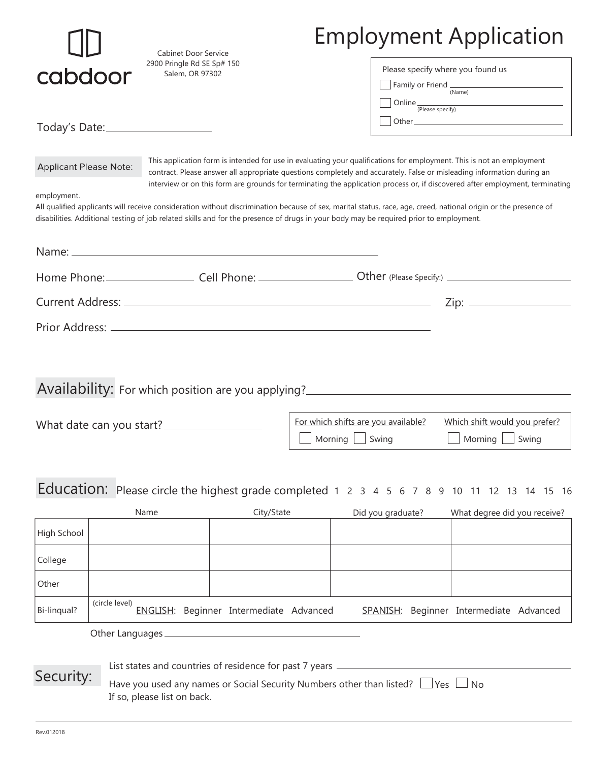| cabdoor                                                                                                                                                                                                                                                                                                                                                                                                           |                | <b>Cabinet Door Service</b><br>2900 Pringle Rd SE Sp# 150<br>Salem, OR 97302 |                                                                                                                                                                                | <b>Employment Application</b>                                                                              |  |                                                                                                                |                                                                                                                                                                 |  |
|-------------------------------------------------------------------------------------------------------------------------------------------------------------------------------------------------------------------------------------------------------------------------------------------------------------------------------------------------------------------------------------------------------------------|----------------|------------------------------------------------------------------------------|--------------------------------------------------------------------------------------------------------------------------------------------------------------------------------|------------------------------------------------------------------------------------------------------------|--|----------------------------------------------------------------------------------------------------------------|-----------------------------------------------------------------------------------------------------------------------------------------------------------------|--|
|                                                                                                                                                                                                                                                                                                                                                                                                                   |                |                                                                              |                                                                                                                                                                                |                                                                                                            |  | Please specify where you found us<br>Family or Friend $\frac{1}{(Name)}$<br>Online <sub>(Please specify)</sub> |                                                                                                                                                                 |  |
|                                                                                                                                                                                                                                                                                                                                                                                                                   |                | Today's Date: ______________________                                         |                                                                                                                                                                                |                                                                                                            |  |                                                                                                                |                                                                                                                                                                 |  |
| This application form is intended for use in evaluating your qualifications for employment. This is not an employment<br><b>Applicant Please Note:</b><br>contract. Please answer all appropriate questions completely and accurately. False or misleading information during an<br>interview or on this form are grounds for terminating the application process or, if discovered after employment, terminating |                |                                                                              |                                                                                                                                                                                |                                                                                                            |  |                                                                                                                |                                                                                                                                                                 |  |
| employment.                                                                                                                                                                                                                                                                                                                                                                                                       |                |                                                                              | disabilities. Additional testing of job related skills and for the presence of drugs in your body may be required prior to employment.                                         |                                                                                                            |  |                                                                                                                | All qualified applicants will receive consideration without discrimination because of sex, marital status, race, age, creed, national origin or the presence of |  |
|                                                                                                                                                                                                                                                                                                                                                                                                                   |                |                                                                              |                                                                                                                                                                                |                                                                                                            |  |                                                                                                                |                                                                                                                                                                 |  |
|                                                                                                                                                                                                                                                                                                                                                                                                                   |                |                                                                              |                                                                                                                                                                                |                                                                                                            |  |                                                                                                                |                                                                                                                                                                 |  |
|                                                                                                                                                                                                                                                                                                                                                                                                                   |                |                                                                              |                                                                                                                                                                                |                                                                                                            |  |                                                                                                                |                                                                                                                                                                 |  |
|                                                                                                                                                                                                                                                                                                                                                                                                                   |                |                                                                              |                                                                                                                                                                                |                                                                                                            |  |                                                                                                                |                                                                                                                                                                 |  |
|                                                                                                                                                                                                                                                                                                                                                                                                                   |                |                                                                              |                                                                                                                                                                                |                                                                                                            |  |                                                                                                                | Availability: For which position are you applying?                                                                                                              |  |
|                                                                                                                                                                                                                                                                                                                                                                                                                   |                |                                                                              |                                                                                                                                                                                | For which shifts are you available?<br>Which shift would you prefer?<br>Morning   Swing<br>Morning   Swing |  |                                                                                                                |                                                                                                                                                                 |  |
|                                                                                                                                                                                                                                                                                                                                                                                                                   |                |                                                                              |                                                                                                                                                                                |                                                                                                            |  |                                                                                                                | Education: Please circle the highest grade completed 1 2 3 4 5 6 7 8 9 10 11 12 13 14 15 16                                                                     |  |
|                                                                                                                                                                                                                                                                                                                                                                                                                   |                | Name                                                                         | City/State                                                                                                                                                                     |                                                                                                            |  | Did you graduate?                                                                                              | What degree did you receive?                                                                                                                                    |  |
| High School                                                                                                                                                                                                                                                                                                                                                                                                       |                |                                                                              |                                                                                                                                                                                |                                                                                                            |  |                                                                                                                |                                                                                                                                                                 |  |
| College                                                                                                                                                                                                                                                                                                                                                                                                           |                |                                                                              |                                                                                                                                                                                |                                                                                                            |  |                                                                                                                |                                                                                                                                                                 |  |
| Other                                                                                                                                                                                                                                                                                                                                                                                                             |                |                                                                              |                                                                                                                                                                                |                                                                                                            |  |                                                                                                                |                                                                                                                                                                 |  |
| Bi-linqual?                                                                                                                                                                                                                                                                                                                                                                                                       | (circle level) |                                                                              | ENGLISH: Beginner Intermediate Advanced                                                                                                                                        |                                                                                                            |  |                                                                                                                | SPANISH: Beginner Intermediate Advanced                                                                                                                         |  |
| Security:                                                                                                                                                                                                                                                                                                                                                                                                         |                |                                                                              | List states and countries of residence for past 7 years ________________________<br>Have you used any names or Social Security Numbers other than listed? $\Box$ Yes $\Box$ No |                                                                                                            |  |                                                                                                                |                                                                                                                                                                 |  |
|                                                                                                                                                                                                                                                                                                                                                                                                                   |                | If so, please list on back.                                                  |                                                                                                                                                                                |                                                                                                            |  |                                                                                                                |                                                                                                                                                                 |  |